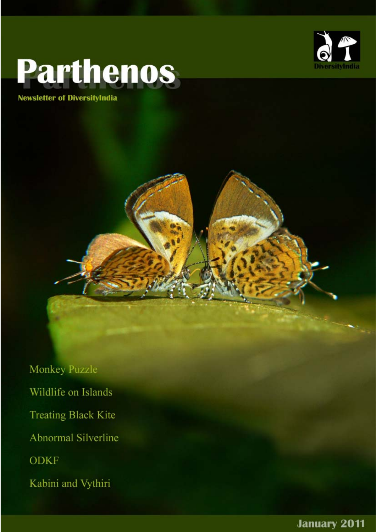

# **Parthenos**

**Newsletter of DiversityIndia** 

Monkey Puzzle Wildlife on Islands **Treating Black Kite** Abnormal Silverline **ODKF** Kabini and Vythiri

**January 2011**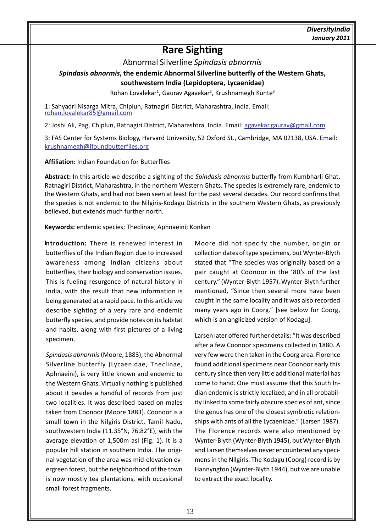# **Rare Sighting**

Abnormal Silverline *Spindasis abnormis*

*Spindasis abnormis***, the endemic Abnormal Silverline butterfly of the Western Ghats, southwestern India (Lepidoptera, Lycaenidae)**

Rohan Lovalekar<sup>1</sup>, Gaurav Agavekar<sup>2</sup>, Krushnamegh Kunte<sup>3</sup>

1: Sahyadri Nisarga Mitra, Chiplun, Ratnagiri District, Maharashtra, India. Email: rohan.lovalekar85@gmail.com

2: Joshi Ali, Pag, Chiplun, Ratnagiri District, Maharashtra, India. Email: agavekar.gaurav@gmail.com

3: FAS Center for Systems Biology, Harvard University, 52 Oxford St., Cambridge, MA 02138, USA. Email: krushnamegh@ifoundbutterflies.org

**Affiliation:** Indian Foundation for Butterflies

**Abstract:** In this article we describe a sighting of the *Spindasis abnormis* butterfly from Kumbharli Ghat, Ratnagiri District, Maharashtra, in the northern Western Ghats. The species is extremely rare, endemic to the Western Ghats, and had not been seen at least for the past several decades. Our record confirms that the species is not endemic to the Nilgiris-Kodagu Districts in the southern Western Ghats, as previously believed, but extends much further north.

**Keywords:** endemic species; Theclinae; Aphnaeini; Konkan

**Introduction:** There is renewed interest in butterflies of the Indian Region due to increased awareness among Indian citizens about butterflies, their biology and conservation issues. This is fueling resurgence of natural history in India, with the result that new information is being generated at a rapid pace. In this article we describe sighting of a very rare and endemic butterfly species, and provide notes on its habitat and habits, along with first pictures of a living specimen.

*Spindasis abnormis* (Moore, 1883), the Abnormal Silverline butterfly (Lycaenidae, Theclinae, Aphnaeini), is very little known and endemic to the Western Ghats. Virtually nothing is published about it besides a handful of records from just two localities. It was described based on males taken from Coonoor (Moore 1883). Coonoor is a small town in the Nilgiris District, Tamil Nadu, southwestern India (11.35°N, 76.82°E), with the average elevation of 1,500m asl (Fig. 1). It is a popular hill station in southern India. The original vegetation of the area was mid-elevation evergreen forest, but the neighborhood of the town is now mostly tea plantations, with occasional small forest fragments.

Moore did not specify the number, origin or collection dates of type specimens, but Wynter-Blyth stated that "The species was originally based on a pair caught at Coonoor in the '80's of the last century." (Wynter-Blyth 1957). Wynter-Blyth further mentioned, "Since then several more have been caught in the same locality and it was also recorded many years ago in Coorg." [see below for Coorg, which is an anglicized version of Kodagu].

Larsen later offered further details: "It was described after a few Coonoor specimens collected in 1880. A very few were then taken in the Coorg area. Florence found additional specimens near Coonoor early this century since then very little additional material has come to hand. One must assume that this South Indian endemic is strictly localized, and in all probability linked to some fairly obscure species of ant, since the genus has one of the closest symbiotic relationships with ants of all the Lycaenidae." (Larsen 1987). The Florence records were also mentioned by Wynter-Blyth (Wynter-Blyth 1945), but Wynter-Blyth and Larsen themselves never encountered any specimens in the Nilgiris. The Kodagu (Coorg) record is by Hannyngton (Wynter-Blyth 1944), but we are unable to extract the exact locality.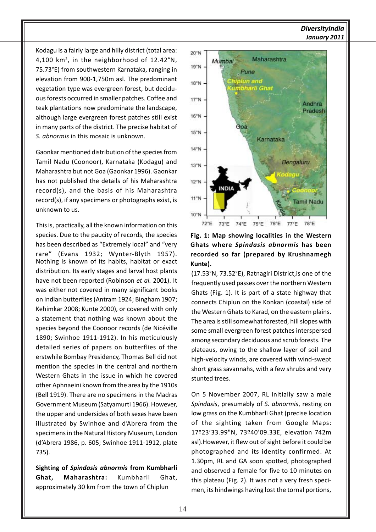## *DiversityIndia January 2011*

Kodagu is a fairly large and hilly district (total area: 4,100 km2 , in the neighborhood of 12.42°N, 75.73°E) from southwestern Karnataka, ranging in elevation from 900-1,750m asl. The predominant vegetation type was evergreen forest, but deciduous forests occurred in smaller patches. Coffee and teak plantations now predominate the landscape, although large evergreen forest patches still exist in many parts of the district. The precise habitat of *S. abnormis* in this mosaic is unknown.

Gaonkar mentioned distribution of the species from Tamil Nadu (Coonoor), Karnataka (Kodagu) and Maharashtra but not Goa (Gaonkar 1996). Gaonkar has not published the details of his Maharashtra record(s), and the basis of his Maharashtra record(s), if any specimens or photographs exist, is unknown to us.

This is, practically, all the known information on this species. Due to the paucity of records, the species has been described as "Extremely local" and "very rare" (Evans 1932; Wynter-Blyth 1957). Nothing is known of its habits, habitat or exact distribution. Its early stages and larval host plants have not been reported (Robinson *et al.* 2001). It was either not covered in many significant books on Indian butterflies (Antram 1924; Bingham 1907; Kehimkar 2008; Kunte 2000), or covered with only a statement that nothing was known about the species beyond the Coonoor records (de Nicéville 1890; Swinhoe 1911-1912). In his meticulously detailed series of papers on butterflies of the erstwhile Bombay Presidency, Thomas Bell did not mention the species in the central and northern Western Ghats in the issue in which he covered other Aphnaeini known from the area by the 1910s (Bell 1919). There are no specimens in the Madras Government Museum (Satyamurti 1966). However, the upper and undersides of both sexes have been illustrated by Swinhoe and d'Abrera from the specimens in the Natural History Museum, London (d'Abrera 1986, p. 605; Swinhoe 1911-1912, plate 735).

**Sighting of** *Spindasis abnormis* **from Kumbharli Ghat, Maharashtra:** Kumbharli Ghat, approximately 30 km from the town of Chiplun



# **Fig. 1: Map showing localities in the Western Ghats where** *Spindasis abnormis* **has been recorded so far (prepared by Krushnamegh Kunte).**

(17.53°N, 73.52°E), Ratnagiri District,is one of the frequently used passes over the northern Western Ghats (Fig. 1). It is part of a state highway that connects Chiplun on the Konkan (coastal) side of the Western Ghats to Karad, on the eastern plains. The area is still somewhat forested, hill slopes with some small evergreen forest patches interspersed among secondary deciduous and scrub forests. The plateaus, owing to the shallow layer of soil and high-velocity winds, are covered with wind-swept short grass savannahs, with a few shrubs and very stunted trees.

On 5 November 2007, RL initially saw a male *Spindasis*, presumably of *S. abnormis*, resting on low grass on the Kumbharli Ghat (precise location of the sighting taken from Google Maps: 17º23'33.99"N, 73º40'09.33E, elevation 742m asl).However, it flew out of sight before it could be photographed and its identity confirmed. At 1.30pm, RL and GA soon spotted, photographed and observed a female for five to 10 minutes on this plateau (Fig. 2). It was not a very fresh specimen, its hindwings having lost the tornal portions,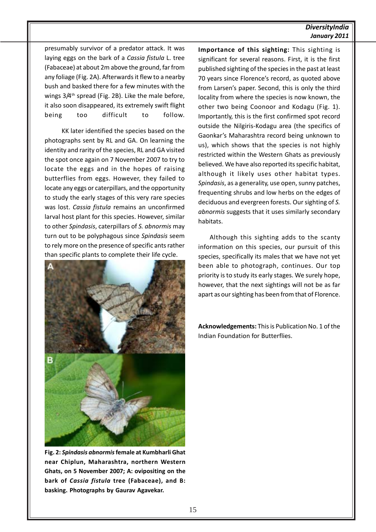### *DiversityIndia January 2011*

presumably survivor of a predator attack. It was laying eggs on the bark of a *Cassia fistula* L. tree (Fabaceae) at about 2m above the ground, far from any foliage (Fig. 2A). Afterwards it flew to a nearby bush and basked there for a few minutes with the wings  $3/4$ <sup>th</sup> spread (Fig. 2B). Like the male before, it also soon disappeared, its extremely swift flight being too difficult to follow.

KK later identified the species based on the photographs sent by RL and GA. On learning the identity and rarity of the species, RL and GA visited the spot once again on 7 November 2007 to try to locate the eggs and in the hopes of raising butterflies from eggs. However, they failed to locate any eggs or caterpillars, and the opportunity to study the early stages of this very rare species was lost. *Cassia fistula* remains an unconfirmed larval host plant for this species. However, similar to other *Spindasis*, caterpillars of *S. abnormis* may turn out to be polyphagous since *Spindasis* seem to rely more on the presence of specific ants rather than specific plants to complete their life cycle.



**Fig. 2:** *Spindasis abnormis* **female at Kumbharli Ghat near Chiplun, Maharashtra, northern Western Ghats, on 5 November 2007; A: ovipositing on the bark of** *Cassia fistula* **tree (Fabaceae), and B: basking. Photographs by Gaurav Agavekar.**

**Importance of this sighting:** This sighting is significant for several reasons. First, it is the first published sighting of the species in the past at least 70 years since Florence's record, as quoted above from Larsen's paper. Second, this is only the third locality from where the species is now known, the other two being Coonoor and Kodagu (Fig. 1). Importantly, this is the first confirmed spot record outside the Nilgiris-Kodagu area (the specifics of Gaonkar's Maharashtra record being unknown to us), which shows that the species is not highly restricted within the Western Ghats as previously believed. We have also reported its specific habitat, although it likely uses other habitat types. *Spindasis*, as a generality, use open, sunny patches, frequenting shrubs and low herbs on the edges of deciduous and evergreen forests. Our sighting of *S. abnormis* suggests that it uses similarly secondary habitats.

Although this sighting adds to the scanty information on this species, our pursuit of this species, specifically its males that we have not yet been able to photograph, continues. Our top priority is to study its early stages. We surely hope, however, that the next sightings will not be as far apart as our sighting has been from that of Florence.

**Acknowledgements:** This is Publication No. 1 of the Indian Foundation for Butterflies.